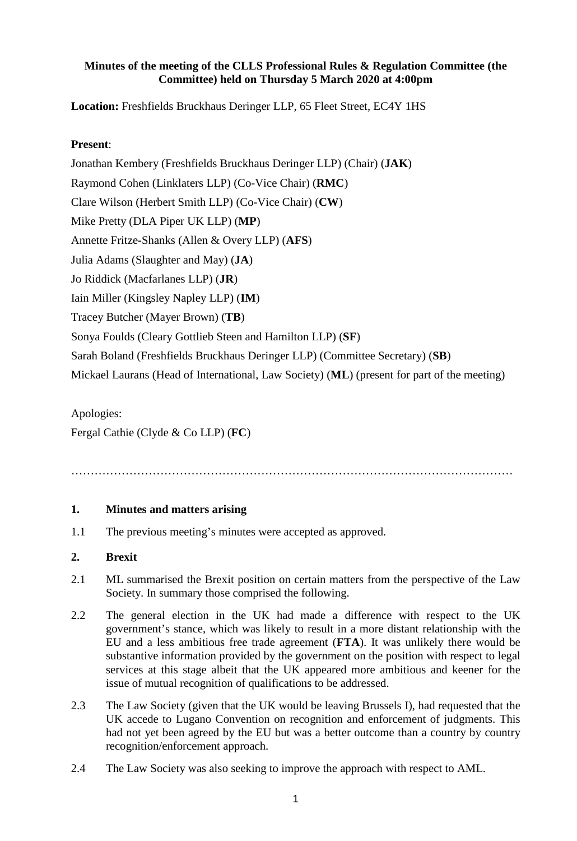### **Minutes of the meeting of the CLLS Professional Rules & Regulation Committee (the Committee) held on Thursday 5 March 2020 at 4:00pm**

**Location:** Freshfields Bruckhaus Deringer LLP, 65 Fleet Street, EC4Y 1HS

## **Present**:

Jonathan Kembery (Freshfields Bruckhaus Deringer LLP) (Chair) (**JAK**) Raymond Cohen (Linklaters LLP) (Co-Vice Chair) (**RMC**) Clare Wilson (Herbert Smith LLP) (Co-Vice Chair) (**CW**) Mike Pretty (DLA Piper UK LLP) (**MP**) Annette Fritze-Shanks (Allen & Overy LLP) (**AFS**) Julia Adams (Slaughter and May) (**JA**) Jo Riddick (Macfarlanes LLP) (**JR**) Iain Miller (Kingsley Napley LLP) (**IM**) Tracey Butcher (Mayer Brown) (**TB**) Sonya Foulds (Cleary Gottlieb Steen and Hamilton LLP) (**SF**) Sarah Boland (Freshfields Bruckhaus Deringer LLP) (Committee Secretary) (**SB**) Mickael Laurans (Head of International, Law Society) (**ML**) (present for part of the meeting)

Apologies: Fergal Cathie (Clyde & Co LLP) (**FC**)

……………………………………………………………………………………………………

### **1. Minutes and matters arising**

1.1 The previous meeting's minutes were accepted as approved.

### **2. Brexit**

- 2.1 ML summarised the Brexit position on certain matters from the perspective of the Law Society. In summary those comprised the following.
- 2.2 The general election in the UK had made a difference with respect to the UK government's stance, which was likely to result in a more distant relationship with the EU and a less ambitious free trade agreement (**FTA**). It was unlikely there would be substantive information provided by the government on the position with respect to legal services at this stage albeit that the UK appeared more ambitious and keener for the issue of mutual recognition of qualifications to be addressed.
- 2.3 The Law Society (given that the UK would be leaving Brussels I), had requested that the UK accede to Lugano Convention on recognition and enforcement of judgments. This had not yet been agreed by the EU but was a better outcome than a country by country recognition/enforcement approach.
- 2.4 The Law Society was also seeking to improve the approach with respect to AML.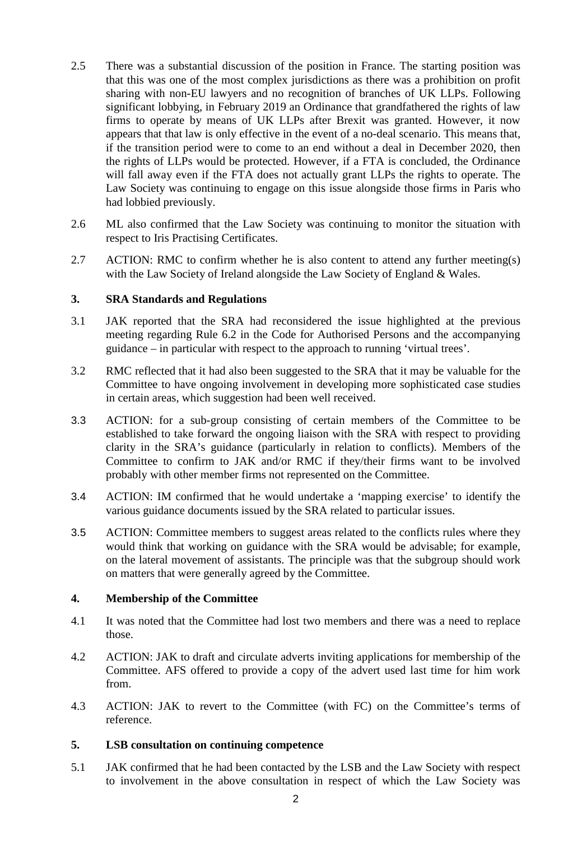- 2.5 There was a substantial discussion of the position in France. The starting position was that this was one of the most complex jurisdictions as there was a prohibition on profit sharing with non-EU lawyers and no recognition of branches of UK LLPs. Following significant lobbying, in February 2019 an Ordinance that grandfathered the rights of law firms to operate by means of UK LLPs after Brexit was granted. However, it now appears that that law is only effective in the event of a no-deal scenario. This means that, if the transition period were to come to an end without a deal in December 2020, then the rights of LLPs would be protected. However, if a FTA is concluded, the Ordinance will fall away even if the FTA does not actually grant LLPs the rights to operate. The Law Society was continuing to engage on this issue alongside those firms in Paris who had lobbied previously.
- 2.6 ML also confirmed that the Law Society was continuing to monitor the situation with respect to Iris Practising Certificates.
- 2.7 ACTION: RMC to confirm whether he is also content to attend any further meeting(s) with the Law Society of Ireland alongside the Law Society of England & Wales.

### **3. SRA Standards and Regulations**

- 3.1 JAK reported that the SRA had reconsidered the issue highlighted at the previous meeting regarding Rule 6.2 in the Code for Authorised Persons and the accompanying guidance – in particular with respect to the approach to running 'virtual trees'.
- 3.2 RMC reflected that it had also been suggested to the SRA that it may be valuable for the Committee to have ongoing involvement in developing more sophisticated case studies in certain areas, which suggestion had been well received.
- 3.3 ACTION: for a sub-group consisting of certain members of the Committee to be established to take forward the ongoing liaison with the SRA with respect to providing clarity in the SRA's guidance (particularly in relation to conflicts). Members of the Committee to confirm to JAK and/or RMC if they/their firms want to be involved probably with other member firms not represented on the Committee.
- 3.4 ACTION: IM confirmed that he would undertake a 'mapping exercise' to identify the various guidance documents issued by the SRA related to particular issues.
- 3.5 ACTION: Committee members to suggest areas related to the conflicts rules where they would think that working on guidance with the SRA would be advisable; for example, on the lateral movement of assistants. The principle was that the subgroup should work on matters that were generally agreed by the Committee.

### **4. Membership of the Committee**

- 4.1 It was noted that the Committee had lost two members and there was a need to replace those.
- 4.2 ACTION: JAK to draft and circulate adverts inviting applications for membership of the Committee. AFS offered to provide a copy of the advert used last time for him work from.
- 4.3 ACTION: JAK to revert to the Committee (with FC) on the Committee's terms of reference.

# **5. LSB consultation on continuing competence**

5.1 JAK confirmed that he had been contacted by the LSB and the Law Society with respect to involvement in the above consultation in respect of which the Law Society was